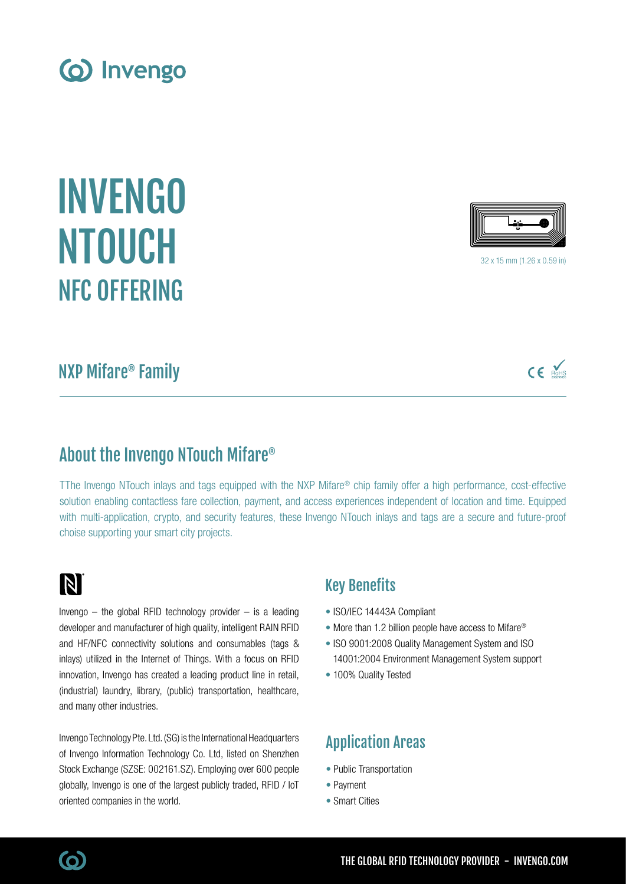INVENGO NTOUCH NFC OFFERING

# NXP Mifare® Family

# About the Invengo NTouch Mifare®

TThe Invengo NTouch inlays and tags equipped with the NXP Mifare® chip family offer a high performance, cost-effective solution enabling contactless fare collection, payment, and access experiences independent of location and time. Equipped with multi-application, crypto, and security features, these Invengo NTouch inlays and tags are a secure and future-proof choise supporting your smart city projects.

# N

Invengo  $-$  the global RFID technology provider  $-$  is a leading developer and manufacturer of high quality, intelligent RAIN RFID and HF/NFC connectivity solutions and consumables (tags & inlays) utilized in the Internet of Things. With a focus on RFID innovation, Invengo has created a leading product line in retail, (industrial) laundry, library, (public) transportation, healthcare, and many other industries.

Invengo Technology Pte. Ltd. (SG) is the International Headquarters of Invengo Information Technology Co. Ltd, listed on Shenzhen Stock Exchange (SZSE: 002161.SZ). Employing over 600 people globally, Invengo is one of the largest publicly traded, RFID / IoT oriented companies in the world.

## Key Benefits

- ISO/IEC 14443A Compliant
- More than 1.2 billion people have access to Mifare<sup>®</sup>
- ISO 9001:2008 Quality Management System and ISO 14001:2004 Environment Management System support
- 100% Quality Tested

# Application Areas

- Public Transportation
- Payment
- Smart Cities